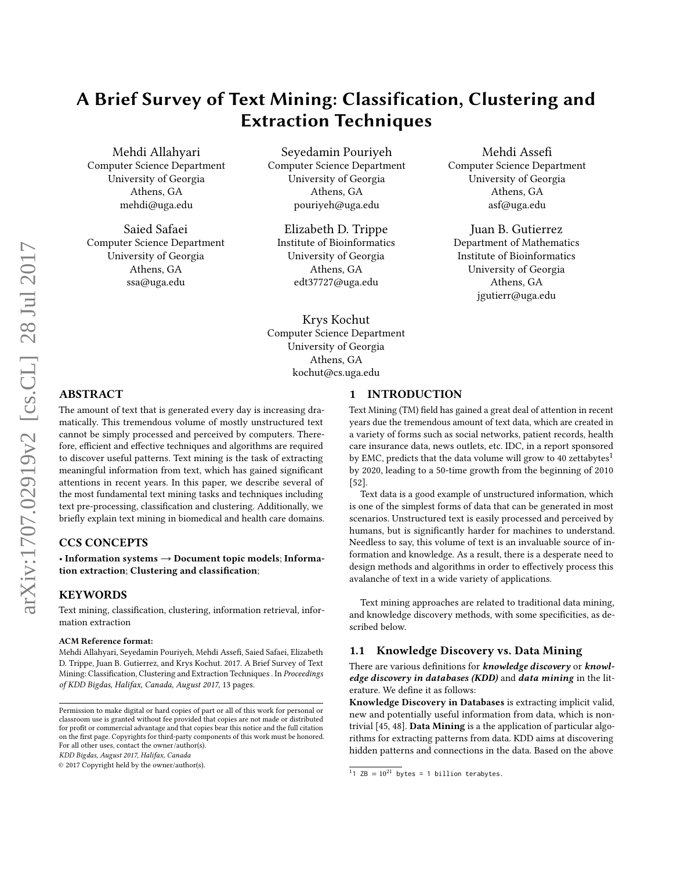# A Brief Survey of Text Mining: Classification, Clustering and Extraction Techniques

Mehdi Allahyari Computer Science Department University of Georgia Athens, GA mehdi@uga.edu

Saied Safaei Computer Science Department University of Georgia Athens, GA ssa@uga.edu

Seyedamin Pouriyeh Computer Science Department University of Georgia Athens, GA pouriyeh@uga.edu

Elizabeth D. Trippe Institute of Bioinformatics University of Georgia Athens, GA edt37727@uga.edu

Krys Kochut Computer Science Department University of Georgia Athens, GA kochut@cs.uga.edu

Mehdi Assefi Computer Science Department University of Georgia Athens, GA asf@uga.edu

Juan B. Gutierrez Department of Mathematics Institute of Bioinformatics University of Georgia Athens, GA jgutierr@uga.edu

# ABSTRACT

The amount of text that is generated every day is increasing dramatically. This tremendous volume of mostly unstructured text cannot be simply processed and perceived by computers. Therefore, efficient and effective techniques and algorithms are required to discover useful patterns. Text mining is the task of extracting meaningful information from text, which has gained significant attentions in recent years. In this paper, we describe several of the most fundamental text mining tasks and techniques including text pre-processing, classification and clustering. Additionally, we briefly explain text mining in biomedical and health care domains.

## CCS CONCEPTS

• Information systems  $\rightarrow$  Document topic models; Information extraction; Clustering and classification;

#### KEYWORDS

Text mining, classification, clustering, information retrieval, information extraction

#### ACM Reference format:

Mehdi Allahyari, Seyedamin Pouriyeh, Mehdi Assefi, Saied Safaei, Elizabeth D. Trippe, Juan B. Gutierrez, and Krys Kochut. 2017. A Brief Survey of Text Mining: Classification, Clustering and Extraction Techniques . In Proceedings of KDD Bigdas, Halifax, Canada, August 2017, [13](#page-12-0) pages.

KDD Bigdas, August 2017, Halifax, Canada

© 2017 Copyright held by the owner/author(s).

#### 1 INTRODUCTION

Text Mining (TM) field has gained a great deal of attention in recent years due the tremendous amount of text data, which are created in a variety of forms such as social networks, patient records, health care insurance data, news outlets, etc. IDC, in a report sponsored by EMC, predicts that the data volume will grow to 40 zettabytes<sup>[1](#page-0-0)</sup> by 2020, leading to a 50-time growth from the beginning of 2010 [\[52\]](#page-11-0).

Text data is a good example of unstructured information, which is one of the simplest forms of data that can be generated in most scenarios. Unstructured text is easily processed and perceived by humans, but is significantly harder for machines to understand. Needless to say, this volume of text is an invaluable source of information and knowledge. As a result, there is a desperate need to design methods and algorithms in order to effectively process this avalanche of text in a wide variety of applications.

Text mining approaches are related to traditional data mining, and knowledge discovery methods, with some specificities, as described below.

#### 1.1 Knowledge Discovery vs. Data Mining

There are various definitions for knowledge discovery or knowledge discovery in databases (KDD) and data mining in the literature. We define it as follows:

Knowledge Discovery in Databases is extracting implicit valid, new and potentially useful information from data, which is nontrivial [\[45,](#page-11-1) [48\]](#page-11-2). Data Mining is a the application of particular algorithms for extracting patterns from data. KDD aims at discovering hidden patterns and connections in the data. Based on the above

Permission to make digital or hard copies of part or all of this work for personal or classroom use is granted without fee provided that copies are not made or distributed for profit or commercial advantage and that copies bear this notice and the full citation on the first page. Copyrights for third-party components of this work must be honored. For all other uses, contact the owner/author(s).

<span id="page-0-0"></span><sup>&</sup>lt;sup>1</sup>1 ZB =  $10^{21}$  bytes = 1 billion terabytes.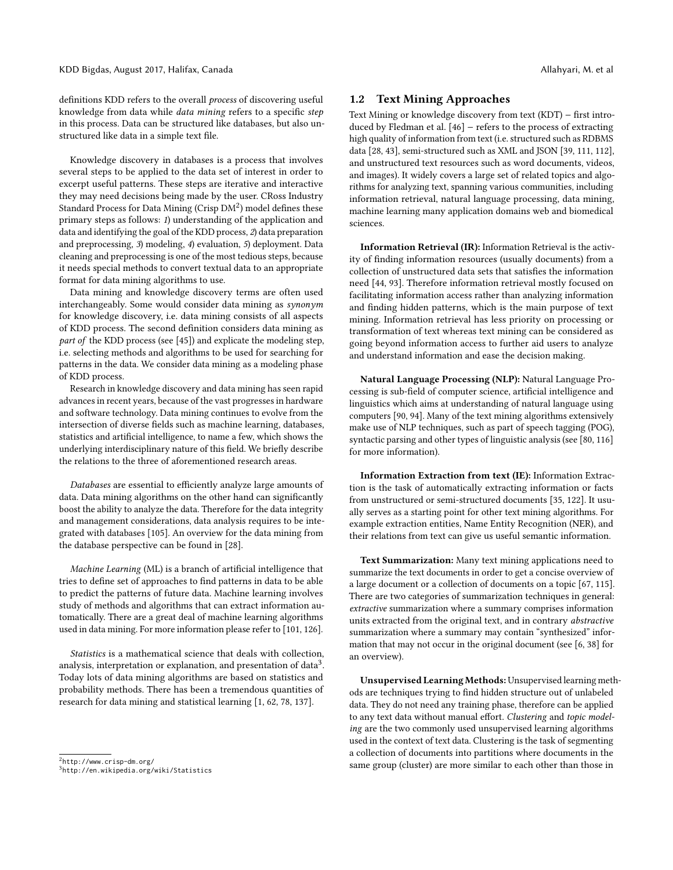definitions KDD refers to the overall process of discovering useful knowledge from data while data mining refers to a specific step in this process. Data can be structured like databases, but also unstructured like data in a simple text file.

Knowledge discovery in databases is a process that involves several steps to be applied to the data set of interest in order to excerpt useful patterns. These steps are iterative and interactive they may need decisions being made by the user. CRoss Industry Standard Process for Data Mining (Crisp  $DM<sup>2</sup>$  $DM<sup>2</sup>$  $DM<sup>2</sup>$ ) model defines these primary steps as follows: 1) understanding of the application and data and identifying the goal of the KDD process, 2) data preparation and preprocessing, 3) modeling, 4) evaluation, 5) deployment. Data cleaning and preprocessing is one of the most tedious steps, because it needs special methods to convert textual data to an appropriate format for data mining algorithms to use.

Data mining and knowledge discovery terms are often used interchangeably. Some would consider data mining as synonym for knowledge discovery, i.e. data mining consists of all aspects of KDD process. The second definition considers data mining as part of the KDD process (see [\[45\]](#page-11-1)) and explicate the modeling step, i.e. selecting methods and algorithms to be used for searching for patterns in the data. We consider data mining as a modeling phase of KDD process.

Research in knowledge discovery and data mining has seen rapid advances in recent years, because of the vast progresses in hardware and software technology. Data mining continues to evolve from the intersection of diverse fields such as machine learning, databases, statistics and artificial intelligence, to name a few, which shows the underlying interdisciplinary nature of this field. We briefly describe the relations to the three of aforementioned research areas.

Databases are essential to efficiently analyze large amounts of data. Data mining algorithms on the other hand can significantly boost the ability to analyze the data. Therefore for the data integrity and management considerations, data analysis requires to be integrated with databases [\[105\]](#page-12-1). An overview for the data mining from the database perspective can be found in [\[28\]](#page-10-0).

Machine Learning (ML) is a branch of artificial intelligence that tries to define set of approaches to find patterns in data to be able to predict the patterns of future data. Machine learning involves study of methods and algorithms that can extract information automatically. There are a great deal of machine learning algorithms used in data mining. For more information please refer to [\[101,](#page-12-2) [126\]](#page-12-3).

Statistics is a mathematical science that deals with collection, analysis, interpretation or explanation, and presentation of data $^3.$  $^3.$  $^3.$ Today lots of data mining algorithms are based on statistics and probability methods. There has been a tremendous quantities of research for data mining and statistical learning [\[1,](#page-10-1) [62,](#page-11-3) [78,](#page-11-4) [137\]](#page-12-4).

#### 1.2 Text Mining Approaches

Text Mining or knowledge discovery from text (KDT) − first introduced by Fledman et al. [\[46\]](#page-11-5) − refers to the process of extracting high quality of information from text (i.e. structured such as RDBMS data [\[28,](#page-10-0) [43\]](#page-11-6), semi-structured such as XML and JSON [\[39,](#page-11-7) [111,](#page-12-5) [112\]](#page-12-6), and unstructured text resources such as word documents, videos, and images). It widely covers a large set of related topics and algorithms for analyzing text, spanning various communities, including information retrieval, natural language processing, data mining, machine learning many application domains web and biomedical sciences.

Information Retrieval (IR): Information Retrieval is the activity of finding information resources (usually documents) from a collection of unstructured data sets that satisfies the information need [\[44,](#page-11-8) [93\]](#page-11-9). Therefore information retrieval mostly focused on facilitating information access rather than analyzing information and finding hidden patterns, which is the main purpose of text mining. Information retrieval has less priority on processing or transformation of text whereas text mining can be considered as going beyond information access to further aid users to analyze and understand information and ease the decision making.

Natural Language Processing (NLP): Natural Language Processing is sub-field of computer science, artificial intelligence and linguistics which aims at understanding of natural language using computers [\[90,](#page-11-10) [94\]](#page-11-11). Many of the text mining algorithms extensively make use of NLP techniques, such as part of speech tagging (POG), syntactic parsing and other types of linguistic analysis (see [\[80,](#page-11-12) [116\]](#page-12-7) for more information).

Information Extraction from text (IE): Information Extraction is the task of automatically extracting information or facts from unstructured or semi-structured documents [\[35,](#page-10-2) [122\]](#page-12-8). It usually serves as a starting point for other text mining algorithms. For example extraction entities, Name Entity Recognition (NER), and their relations from text can give us useful semantic information.

Text Summarization: Many text mining applications need to summarize the text documents in order to get a concise overview of a large document or a collection of documents on a topic [\[67,](#page-11-13) [115\]](#page-12-9). There are two categories of summarization techniques in general: extractive summarization where a summary comprises information units extracted from the original text, and in contrary abstractive summarization where a summary may contain "synthesized" information that may not occur in the original document (see [\[6,](#page-10-3) [38\]](#page-11-14) for an overview).

Unsupervised Learning Methods: Unsupervised learning methods are techniques trying to find hidden structure out of unlabeled data. They do not need any training phase, therefore can be applied to any text data without manual effort. Clustering and topic modeling are the two commonly used unsupervised learning algorithms used in the context of text data. Clustering is the task of segmenting a collection of documents into partitions where documents in the same group (cluster) are more similar to each other than those in

<span id="page-1-1"></span><span id="page-1-0"></span><sup>2</sup> http://www.crisp-dm.org/ 3 http://en.wikipedia.org/wiki/Statistics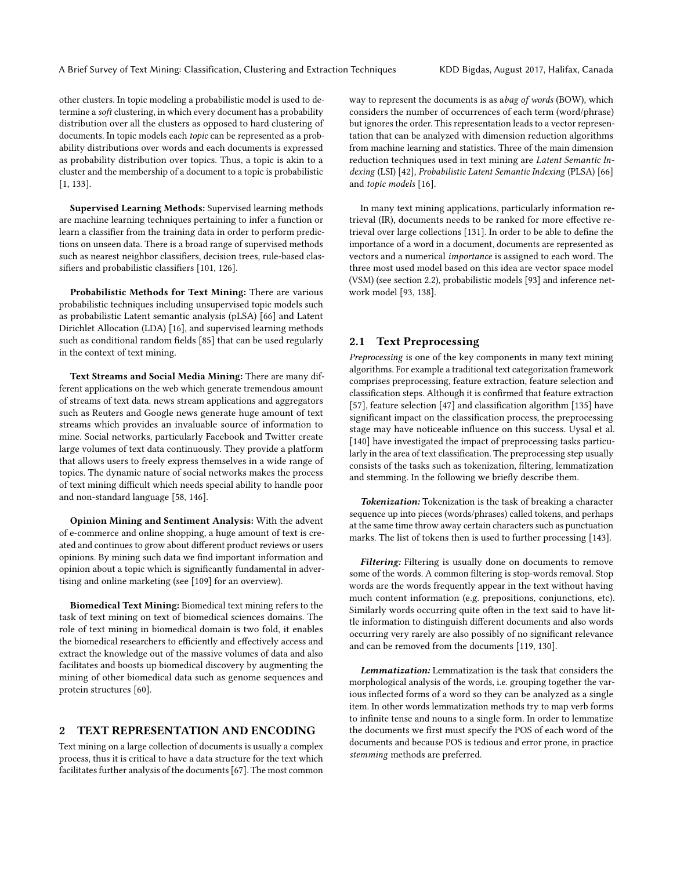other clusters. In topic modeling a probabilistic model is used to determine a soft clustering, in which every document has a probability distribution over all the clusters as opposed to hard clustering of documents. In topic models each topic can be represented as a probability distributions over words and each documents is expressed as probability distribution over topics. Thus, a topic is akin to a cluster and the membership of a document to a topic is probabilistic [\[1,](#page-10-1) [133\]](#page-12-10).

Supervised Learning Methods: Supervised learning methods are machine learning techniques pertaining to infer a function or learn a classifier from the training data in order to perform predictions on unseen data. There is a broad range of supervised methods such as nearest neighbor classifiers, decision trees, rule-based classifiers and probabilistic classifiers [\[101,](#page-12-2) [126\]](#page-12-3).

Probabilistic Methods for Text Mining: There are various probabilistic techniques including unsupervised topic models such as probabilistic Latent semantic analysis (pLSA) [\[66\]](#page-11-15) and Latent Dirichlet Allocation (LDA) [\[16\]](#page-10-4), and supervised learning methods such as conditional random fields [\[85\]](#page-11-16) that can be used regularly in the context of text mining.

Text Streams and Social Media Mining: There are many different applications on the web which generate tremendous amount of streams of text data. news stream applications and aggregators such as Reuters and Google news generate huge amount of text streams which provides an invaluable source of information to mine. Social networks, particularly Facebook and Twitter create large volumes of text data continuously. They provide a platform that allows users to freely express themselves in a wide range of topics. The dynamic nature of social networks makes the process of text mining difficult which needs special ability to handle poor and non-standard language [\[58,](#page-11-17) [146\]](#page-12-11).

Opinion Mining and Sentiment Analysis: With the advent of e-commerce and online shopping, a huge amount of text is created and continues to grow about different product reviews or users opinions. By mining such data we find important information and opinion about a topic which is significantly fundamental in advertising and online marketing (see [\[109\]](#page-12-12) for an overview).

Biomedical Text Mining: Biomedical text mining refers to the task of text mining on text of biomedical sciences domains. The role of text mining in biomedical domain is two fold, it enables the biomedical researchers to efficiently and effectively access and extract the knowledge out of the massive volumes of data and also facilitates and boosts up biomedical discovery by augmenting the mining of other biomedical data such as genome sequences and protein structures [\[60\]](#page-11-18).

#### 2 TEXT REPRESENTATION AND ENCODING

Text mining on a large collection of documents is usually a complex process, thus it is critical to have a data structure for the text which facilitates further analysis of the documents [\[67\]](#page-11-13). The most common way to represent the documents is as abag of words (BOW), which considers the number of occurrences of each term (word/phrase) but ignores the order. This representation leads to a vector representation that can be analyzed with dimension reduction algorithms from machine learning and statistics. Three of the main dimension reduction techniques used in text mining are Latent Semantic Indexing (LSI) [\[42\]](#page-11-19), Probabilistic Latent Semantic Indexing (PLSA) [\[66\]](#page-11-15) and topic models [\[16\]](#page-10-4).

In many text mining applications, particularly information retrieval (IR), documents needs to be ranked for more effective retrieval over large collections [\[131\]](#page-12-13). In order to be able to define the importance of a word in a document, documents are represented as vectors and a numerical importance is assigned to each word. The three most used model based on this idea are vector space model (VSM) (see section 2.2), probabilistic models [\[93\]](#page-11-9) and inference network model [\[93,](#page-11-9) [138\]](#page-12-14).

#### 2.1 Text Preprocessing

Preprocessing is one of the key components in many text mining algorithms. For example a traditional text categorization framework comprises preprocessing, feature extraction, feature selection and classification steps. Although it is confirmed that feature extraction [\[57\]](#page-11-20), feature selection [\[47\]](#page-11-21) and classification algorithm [\[135\]](#page-12-15) have significant impact on the classification process, the preprocessing stage may have noticeable influence on this success. Uysal et al. [\[140\]](#page-12-16) have investigated the impact of preprocessing tasks particularly in the area of text classification. The preprocessing step usually consists of the tasks such as tokenization, filtering, lemmatization and stemming. In the following we briefly describe them.

Tokenization: Tokenization is the task of breaking a character sequence up into pieces (words/phrases) called tokens, and perhaps at the same time throw away certain characters such as punctuation marks. The list of tokens then is used to further processing [\[143\]](#page-12-17).

Filtering: Filtering is usually done on documents to remove some of the words. A common filtering is stop-words removal. Stop words are the words frequently appear in the text without having much content information (e.g. prepositions, conjunctions, etc). Similarly words occurring quite often in the text said to have little information to distinguish different documents and also words occurring very rarely are also possibly of no significant relevance and can be removed from the documents [\[119,](#page-12-18) [130\]](#page-12-19).

Lemmatization: Lemmatization is the task that considers the morphological analysis of the words, i.e. grouping together the various inflected forms of a word so they can be analyzed as a single item. In other words lemmatization methods try to map verb forms to infinite tense and nouns to a single form. In order to lemmatize the documents we first must specify the POS of each word of the documents and because POS is tedious and error prone, in practice stemming methods are preferred.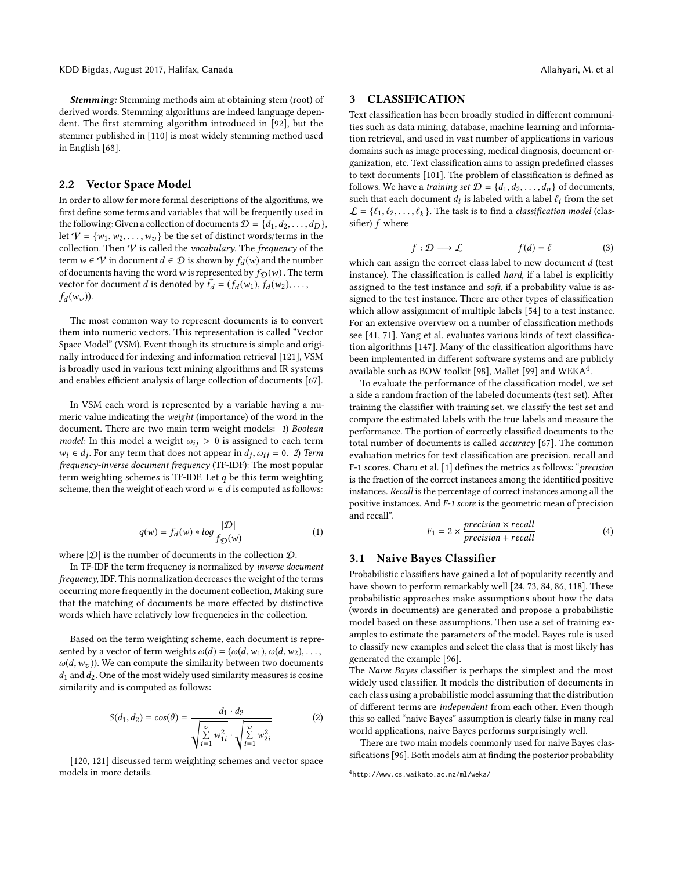Stemming: Stemming methods aim at obtaining stem (root) of derived words. Stemming algorithms are indeed language dependent. The first stemming algorithm introduced in [\[92\]](#page-11-22), but the stemmer published in [\[110\]](#page-12-20) is most widely stemming method used in English [\[68\]](#page-11-23).

#### 2.2 Vector Space Model

In order to allow for more formal descriptions of the algorithms, we first define some terms and variables that will be frequently used in the following: Given a collection of documents  $\mathcal{D} = \{d_1, d_2, \ldots, d_D\}$ , let  $V = \{w_1, w_2, \dots, w_v\}$  be the set of distinct words/terms in the collection. Then  $V$  is called the vocabulary. The frequency of the term  $w \in V$  in document  $d \in \mathcal{D}$  is shown by  $f_d(w)$  and the number<br>of documents having the word w is represented by  $f_{\alpha}(w)$ . The term of documents having the word w is represented by  $f_{\mathcal{D}}(w)$ . The term vector for document *d* is denoted by  $\vec{t}_d = (f_d(w_1), f_d(w_2), \dots, f_d(w_n))$  $f_d(w_v)$ ).

The most common way to represent documents is to convert them into numeric vectors. This representation is called "Vector Space Model" (VSM). Event though its structure is simple and originally introduced for indexing and information retrieval [\[121\]](#page-12-21), VSM is broadly used in various text mining algorithms and IR systems and enables efficient analysis of large collection of documents [\[67\]](#page-11-13).

In VSM each word is represented by a variable having a numeric value indicating the weight (importance) of the word in the document. There are two main term weight models: 1) Boolean model: In this model a weight  $\omega_{ij} > 0$  is assigned to each term  $w_i \in d_j$ . For any term that does not appear in  $d_j$ ,  $\omega_{ij} = 0$ . 2) Term frequency (TE-IDF). The most popular frequency-inverse document frequency (TF-IDF): The most popular term weighting schemes is TF-IDF. Let  $q$  be this term weighting scheme, then the weight of each word  $w \in d$  is computed as follows:

$$
q(w) = f_d(w) * log \frac{|\mathcal{D}|}{f_{\mathcal{D}}(w)}
$$
 (1)

where  $|\mathcal{D}|$  is the number of documents in the collection  $\mathcal{D}$ .

In TF-IDF the term frequency is normalized by inverse document frequency, IDF. This normalization decreases the weight of the terms occurring more frequently in the document collection, Making sure that the matching of documents be more effected by distinctive words which have relatively low frequencies in the collection.

Based on the term weighting scheme, each document is represented by a vector of term weights  $\omega(d) = (\omega(d, w_1), \omega(d, w_2), \dots,$  $\omega(d, w_v)$ ). We can compute the similarity between two documents  $d_1$  and  $d_2$ . One of the most widely used similarity measures is cosine similarity and is computed as follows:

$$
S(d_1, d_2) = \cos(\theta) = \frac{d_1 \cdot d_2}{\sqrt{\sum_{i=1}^{v} w_{1i}^2} \cdot \sqrt{\sum_{i=1}^{v} w_{2i}^2}}
$$
(2)

[\[120,](#page-12-22) [121\]](#page-12-21) discussed term weighting schemes and vector space models in more details.

#### 3 CLASSIFICATION

Text classification has been broadly studied in different communities such as data mining, database, machine learning and information retrieval, and used in vast number of applications in various domains such as image processing, medical diagnosis, document organization, etc. Text classification aims to assign predefined classes to text documents [\[101\]](#page-12-2). The problem of classification is defined as follows. We have a *training set*  $\mathcal{D} = \{d_1, d_2, \ldots, d_n\}$  of documents, such that each document  $d_i$  is labeled with a label  $\ell_i$  from the set  $\ell = \ell_{\ell}$ ,  $\ell_{\ell}$ ,  $\ell_{\ell}$ , The task is to find a classification model (class)  $\mathcal{L} = \{\ell_1, \ell_2, \dots, \ell_k\}$ . The task is to find a *classification model* (classifier) f where sifier) f where

$$
f: \mathcal{D} \longrightarrow \mathcal{L} \qquad f(d) = \ell \qquad (3)
$$

which can assign the correct class label to new document  $d$  (test<br>instance). The classification is called hard if a label is explicitly instance). The classification is called hard, if a label is explicitly assigned to the test instance and soft, if a probability value is assigned to the test instance. There are other types of classification which allow assignment of multiple labels [\[54\]](#page-11-24) to a test instance. For an extensive overview on a number of classification methods see [\[41,](#page-11-25) [71\]](#page-11-26). Yang et al. evaluates various kinds of text classification algorithms [\[147\]](#page-12-23). Many of the classification algorithms have been implemented in different software systems and are publicly available such as BOW toolkit [\[98\]](#page-12-24), Mallet [\[99\]](#page-12-25) and  $\text{WEKA}^4$  $\text{WEKA}^4$ .

To evaluate the performance of the classification model, we set a side a random fraction of the labeled documents (test set). After training the classifier with training set, we classify the test set and compare the estimated labels with the true labels and measure the performance. The portion of correctly classified documents to the total number of documents is called accuracy [\[67\]](#page-11-13). The common evaluation metrics for text classification are precision, recall and F-1 scores. Charu et al. [\[1\]](#page-10-1) defines the metrics as follows: "precision is the fraction of the correct instances among the identified positive instances. Recall is the percentage of correct instances among all the positive instances. And F-1 score is the geometric mean of precision and recall".

$$
F_1 = 2 \times \frac{precision \times recall}{precision + recall}
$$
 (4)

## 3.1 Naive Bayes Classifier

Probabilistic classifiers have gained a lot of popularity recently and have shown to perform remarkably well [\[24,](#page-10-5) [73,](#page-11-27) [84,](#page-11-28) [86,](#page-11-29) [118\]](#page-12-26). These probabilistic approaches make assumptions about how the data (words in documents) are generated and propose a probabilistic model based on these assumptions. Then use a set of training examples to estimate the parameters of the model. Bayes rule is used to classify new examples and select the class that is most likely has generated the example [\[96\]](#page-12-27).

The Naive Bayes classifier is perhaps the simplest and the most widely used classifier. It models the distribution of documents in each class using a probabilistic model assuming that the distribution of different terms are independent from each other. Even though this so called "naive Bayes" assumption is clearly false in many real world applications, naive Bayes performs surprisingly well.

There are two main models commonly used for naive Bayes classifications [\[96\]](#page-12-27). Both models aim at finding the posterior probability

<span id="page-3-0"></span><sup>4</sup> http://www.cs.waikato.ac.nz/ml/weka/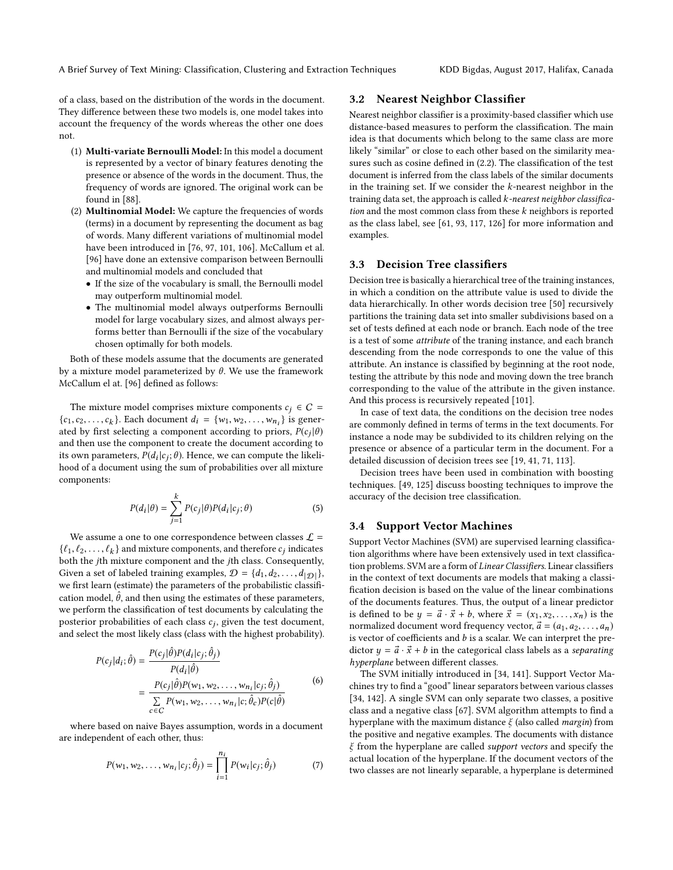of a class, based on the distribution of the words in the document. They difference between these two models is, one model takes into account the frequency of the words whereas the other one does not.

- (1) Multi-variate Bernoulli Model: In this model a document is represented by a vector of binary features denoting the presence or absence of the words in the document. Thus, the frequency of words are ignored. The original work can be found in [\[88\]](#page-11-30).
- (2) Multinomial Model: We capture the frequencies of words (terms) in a document by representing the document as bag of words. Many different variations of multinomial model have been introduced in [\[76,](#page-11-31) [97,](#page-12-28) [101,](#page-12-2) [106\]](#page-12-29). McCallum et al. [\[96\]](#page-12-27) have done an extensive comparison between Bernoulli and multinomial models and concluded that
	- If the size of the vocabulary is small, the Bernoulli model may outperform multinomial model.
	- The multinomial model always outperforms Bernoulli model for large vocabulary sizes, and almost always performs better than Bernoulli if the size of the vocabulary chosen optimally for both models.

Both of these models assume that the documents are generated by a mixture model parameterized by θ. We use the framework McCallum el at. [\[96\]](#page-12-27) defined as follows:

The mixture model comprises mixture components  $c_i \in C$  = {c<sub>1</sub>, c<sub>2</sub>, ..., c<sub>k</sub>}. Each document  $d_i = \{w_1, w_2, ..., w_{n_i}\}\$  is generated by first selecting a component according to priors  $P(c_i|A)$ ated by first selecting a component according to priors,  $P(c_j|\theta)$ <br>and then use the component to create the document according to and then use the component to create the document according to its own parameters,  $P(d_i|c_j;\theta)$ . Hence, we can compute the likeli-<br>hood of a document using the sum of probabilities over all mixture hood of a document using the sum of probabilities over all mixture components:

$$
P(d_i|\theta) = \sum_{j=1}^{k} P(c_j|\theta) P(d_i|c_j; \theta)
$$
\n(5)

We assume a one to one correspondence between classes  $\mathcal{L}$  =  $\{\ell_1, \ell_2, \ldots, \ell_k\}$  and mixture components, and therefore  $c_j$  indicates<br>both the *i*th mixture component and the *i*th class. Consequently, both the jth mixture component and the jth class. Consequently, Given a set of labeled training examples,  $\mathcal{D} = \{d_1, d_2, \ldots, d_{|\mathcal{D}|}\},\$ we first learn (estimate) the parameters of the probabilistic classification model,  $\hat{\theta}$ , and then using the estimates of these parameters, we perform the classification of test documents by calculating the posterior probabilities of each class  $c_j$ , given the test document,<br>and select the most likely class (class with the highest probability) and select the most likely class (class with the highest probability).

$$
P(c_j|d_i; \hat{\theta}) = \frac{P(c_j|\hat{\theta})P(d_i|c_j; \hat{\theta}_j)}{P(d_i|\hat{\theta})}
$$
  
= 
$$
\frac{P(c_j|\hat{\theta})P(w_1, w_2, \dots, w_{n_i}|c_j; \hat{\theta}_j)}{\sum_{c \in C} P(w_1, w_2, \dots, w_{n_i}|c; \hat{\theta}_c)P(c|\hat{\theta})}
$$
(6)

where based on naive Bayes assumption, words in a document are independent of each other, thus:

$$
P(w_1, w_2, \dots, w_{n_i}|c_j; \hat{\theta}_j) = \prod_{i=1}^{n_i} P(w_i|c_j; \hat{\theta}_j)
$$
(7)

#### 3.2 Nearest Neighbor Classifier

Nearest neighbor classifier is a proximity-based classifier which use distance-based measures to perform the classification. The main idea is that documents which belong to the same class are more likely "similar" or close to each other based on the similarity measures such as cosine defined in (2.2). The classification of the test document is inferred from the class labels of the similar documents in the training set. If we consider the  $k$ -nearest neighbor in the training data set, the approach is called k-nearest neighbor classification and the most common class from these  $k$  neighbors is reported as the class label, see [\[61,](#page-11-32) [93,](#page-11-9) [117,](#page-12-30) [126\]](#page-12-3) for more information and examples.

#### 3.3 Decision Tree classifiers

Decision tree is basically a hierarchical tree of the training instances, in which a condition on the attribute value is used to divide the data hierarchically. In other words decision tree [\[50\]](#page-11-33) recursively partitions the training data set into smaller subdivisions based on a set of tests defined at each node or branch. Each node of the tree is a test of some attribute of the traning instance, and each branch descending from the node corresponds to one the value of this attribute. An instance is classified by beginning at the root node, testing the attribute by this node and moving down the tree branch corresponding to the value of the attribute in the given instance. And this process is recursively repeated [\[101\]](#page-12-2).

In case of text data, the conditions on the decision tree nodes are commonly defined in terms of terms in the text documents. For instance a node may be subdivided to its children relying on the presence or absence of a particular term in the document. For a detailed discussion of decision trees see [\[19,](#page-10-6) [41,](#page-11-25) [71,](#page-11-26) [113\]](#page-12-31).

Decision trees have been used in combination with boosting techniques. [\[49,](#page-11-34) [125\]](#page-12-32) discuss boosting techniques to improve the accuracy of the decision tree classification.

#### 3.4 Support Vector Machines

Support Vector Machines (SVM) are supervised learning classification algorithms where have been extensively used in text classification problems. SVM are a form of Linear Classifiers. Linear classifiers in the context of text documents are models that making a classification decision is based on the value of the linear combinations of the documents features. Thus, the output of a linear predictor is defined to be  $y = \vec{a} \cdot \vec{x} + b$ , where  $\vec{x} = (x_1, x_2, \dots, x_n)$  is the normalized document word frequency vector,  $\vec{a} = (a_1, a_2, \dots, a_n)$ is vector of coefficients and  $b$  is a scalar. We can interpret the predictor  $y = \vec{a} \cdot \vec{x} + b$  in the categorical class labels as a separating hyperplane between different classes.

The SVM initially introduced in [\[34,](#page-10-7) [141\]](#page-12-33). Support Vector Machines try to find a "good" linear separators between various classes [\[34,](#page-10-7) [142\]](#page-12-34). A single SVM can only separate two classes, a positive class and a negative class [\[67\]](#page-11-13). SVM algorithm attempts to find a hyperplane with the maximum distance  $\xi$  (also called *margin*) from the positive and negative examples. The documents with distance  $\xi$  from the hyperplane are called *support vectors* and specify the actual location of the hyperplane. If the document vectors of the two classes are not linearly separable, a hyperplane is determined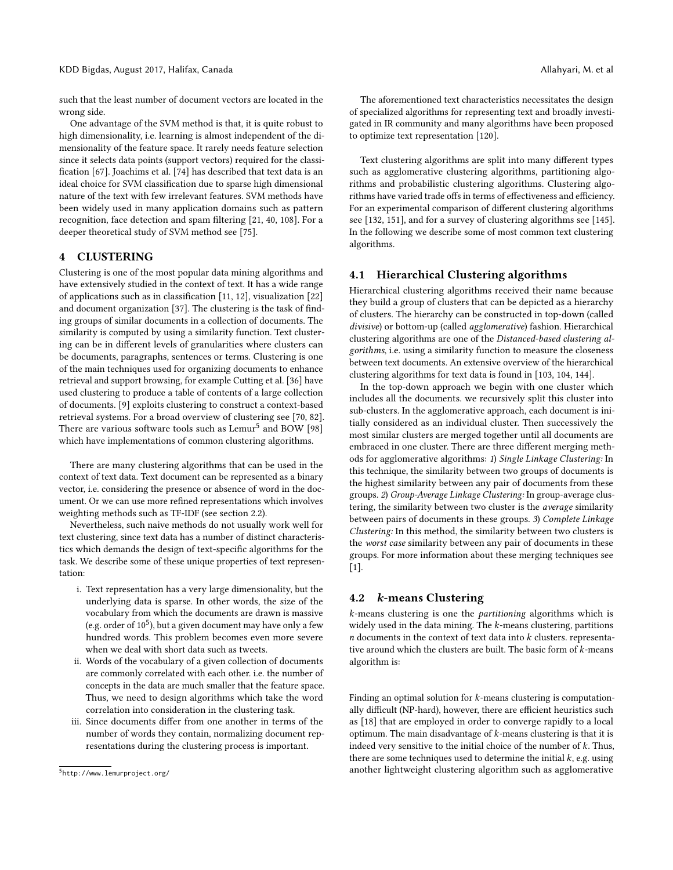such that the least number of document vectors are located in the wrong side.

One advantage of the SVM method is that, it is quite robust to high dimensionality, i.e. learning is almost independent of the dimensionality of the feature space. It rarely needs feature selection since it selects data points (support vectors) required for the classification [\[67\]](#page-11-13). Joachims et al. [\[74\]](#page-11-35) has described that text data is an ideal choice for SVM classification due to sparse high dimensional nature of the text with few irrelevant features. SVM methods have been widely used in many application domains such as pattern recognition, face detection and spam filtering [\[21,](#page-10-8) [40,](#page-11-36) [108\]](#page-12-35). For a deeper theoretical study of SVM method see [\[75\]](#page-11-37).

#### 4 CLUSTERING

Clustering is one of the most popular data mining algorithms and have extensively studied in the context of text. It has a wide range of applications such as in classification [\[11,](#page-10-9) [12\]](#page-10-10), visualization [\[22\]](#page-10-11) and document organization [\[37\]](#page-10-12). The clustering is the task of finding groups of similar documents in a collection of documents. The similarity is computed by using a similarity function. Text clustering can be in different levels of granularities where clusters can be documents, paragraphs, sentences or terms. Clustering is one of the main techniques used for organizing documents to enhance retrieval and support browsing, for example Cutting et al. [\[36\]](#page-10-13) have used clustering to produce a table of contents of a large collection of documents. [\[9\]](#page-10-14) exploits clustering to construct a context-based retrieval systems. For a broad overview of clustering see [\[70,](#page-11-38) [82\]](#page-11-39). There are various software tools such as  ${\rm Lemur}^5$  ${\rm Lemur}^5$  and  ${\rm BOW}$  [\[98\]](#page-12-24) which have implementations of common clustering algorithms.

There are many clustering algorithms that can be used in the context of text data. Text document can be represented as a binary vector, i.e. considering the presence or absence of word in the document. Or we can use more refined representations which involves weighting methods such as TF-IDF (see section 2.2).

Nevertheless, such naive methods do not usually work well for text clustering, since text data has a number of distinct characteristics which demands the design of text-specific algorithms for the task. We describe some of these unique properties of text representation:

- i. Text representation has a very large dimensionality, but the underlying data is sparse. In other words, the size of the vocabulary from which the documents are drawn is massive (e.g. order of  $10^5$ ), but a given document may have only a few hundred words. This problem becomes even more severe when we deal with short data such as tweets.
- ii. Words of the vocabulary of a given collection of documents are commonly correlated with each other. i.e. the number of concepts in the data are much smaller that the feature space. Thus, we need to design algorithms which take the word correlation into consideration in the clustering task.
- iii. Since documents differ from one another in terms of the number of words they contain, normalizing document representations during the clustering process is important.

The aforementioned text characteristics necessitates the design of specialized algorithms for representing text and broadly investigated in IR community and many algorithms have been proposed to optimize text representation [\[120\]](#page-12-22).

Text clustering algorithms are split into many different types such as agglomerative clustering algorithms, partitioning algorithms and probabilistic clustering algorithms. Clustering algorithms have varied trade offs in terms of effectiveness and efficiency. For an experimental comparison of different clustering algorithms see [\[132,](#page-12-36) [151\]](#page-12-37), and for a survey of clustering algorithms see [\[145\]](#page-12-38). In the following we describe some of most common text clustering algorithms.

#### 4.1 Hierarchical Clustering algorithms

Hierarchical clustering algorithms received their name because they build a group of clusters that can be depicted as a hierarchy of clusters. The hierarchy can be constructed in top-down (called divisive) or bottom-up (called agglomerative) fashion. Hierarchical clustering algorithms are one of the Distanced-based clustering algorithms, i.e. using a similarity function to measure the closeness between text documents. An extensive overview of the hierarchical clustering algorithms for text data is found in [\[103,](#page-12-39) [104,](#page-12-40) [144\]](#page-12-41).

In the top-down approach we begin with one cluster which includes all the documents. we recursively split this cluster into sub-clusters. In the agglomerative approach, each document is initially considered as an individual cluster. Then successively the most similar clusters are merged together until all documents are embraced in one cluster. There are three different merging methods for agglomerative algorithms: 1) Single Linkage Clustering: In this technique, the similarity between two groups of documents is the highest similarity between any pair of documents from these groups. 2) Group-Average Linkage Clustering: In group-average clustering, the similarity between two cluster is the average similarity between pairs of documents in these groups. 3) Complete Linkage Clustering: In this method, the similarity between two clusters is the worst case similarity between any pair of documents in these groups. For more information about these merging techniques see [\[1\]](#page-10-1).

#### 4.2 k-means Clustering

k-means clustering is one the partitioning algorithms which is widely used in the data mining. The  $k$ -means clustering, partitions  $n$  documents in the context of text data into  $k$  clusters. representative around which the clusters are built. The basic form of k-means algorithm is:

Finding an optimal solution for k-means clustering is computationally difficult (NP-hard), however, there are efficient heuristics such as [\[18\]](#page-10-15) that are employed in order to converge rapidly to a local optimum. The main disadvantage of  $k$ -means clustering is that it is indeed very sensitive to the initial choice of the number of  $k$ . Thus, there are some techniques used to determine the initial  $k$ , e.g. using another lightweight clustering algorithm such as agglomerative

<span id="page-5-0"></span><sup>5</sup> http://www.lemurproject.org/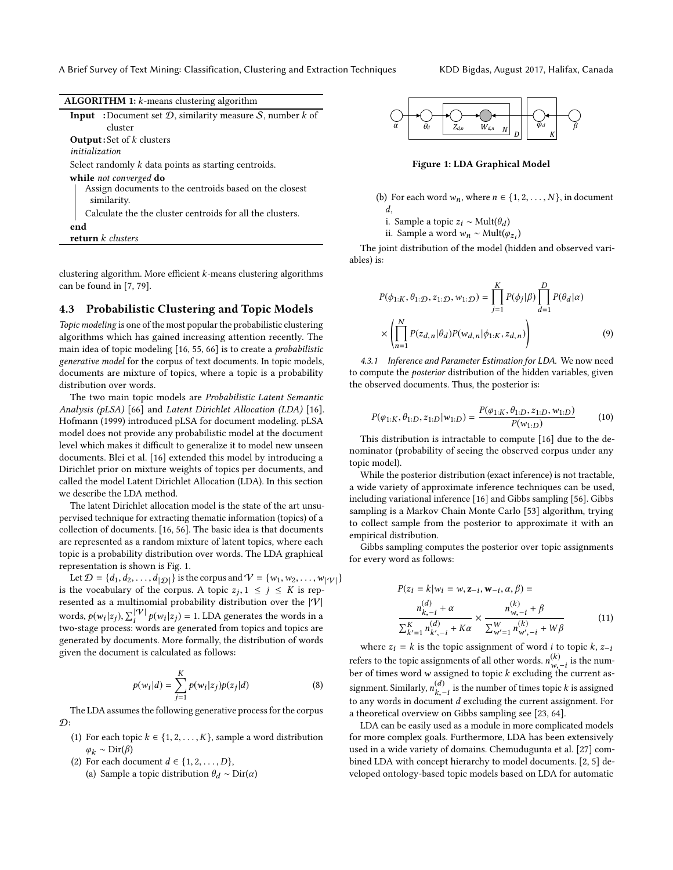| <b>ALGORITHM 1:</b> $k$ -means clustering algorithm                     |
|-------------------------------------------------------------------------|
| <b>Input</b> :Document set $D$ , similarity measure $S$ , number $k$ of |
| cluster                                                                 |
| <b>Output:</b> Set of $k$ clusters                                      |
| initialization                                                          |
| Select randomly $k$ data points as starting centroids.                  |
| while not converged do                                                  |
| Assign documents to the centroids based on the closest<br>similarity.   |
| Calculate the the cluster centroids for all the clusters.               |
| end                                                                     |
| return $k$ clusters                                                     |
|                                                                         |

clustering algorithm. More efficient  $k$ -means clustering algorithms can be found in [\[7,](#page-10-16) [79\]](#page-11-40).

#### 4.3 Probabilistic Clustering and Topic Models

Topic modeling is one of the most popular the probabilistic clustering algorithms which has gained increasing attention recently. The main idea of topic modeling [\[16,](#page-10-4) [55,](#page-11-41) [66\]](#page-11-15) is to create a probabilistic generative model for the corpus of text documents. In topic models, documents are mixture of topics, where a topic is a probability distribution over words.

The two main topic models are Probabilistic Latent Semantic Analysis (pLSA) [\[66\]](#page-11-15) and Latent Dirichlet Allocation (LDA) [\[16\]](#page-10-4). Hofmann (1999) introduced pLSA for document modeling. pLSA model does not provide any probabilistic model at the document level which makes it difficult to generalize it to model new unseen documents. Blei et al. [\[16\]](#page-10-4) extended this model by introducing a Dirichlet prior on mixture weights of topics per documents, and called the model Latent Dirichlet Allocation (LDA). In this section we describe the LDA method.

The latent Dirichlet allocation model is the state of the art unsupervised technique for extracting thematic information (topics) of a collection of documents. [\[16,](#page-10-4) [56\]](#page-11-42). The basic idea is that documents are represented as a random mixture of latent topics, where each topic is a probability distribution over words. The LDA graphical representation is shown is Fig. [1.](#page-6-0)

Let  $\mathcal{D} = \{d_1, d_2, \ldots, d_{|\mathcal{D}|}\}\$ is the corpus and  $\mathcal{V} = \{w_1, w_2, \ldots, w_{|\mathcal{V}|}\}\$ is the vocabulary of the corpus. A topic  $z_j, 1 \le j \le K$  is rep-<br>recented as a multipomial probability distribution over the [ $|V|$ ] resented as a multinomial probability distribution over the  $|\mathcal{V}|$ words,  $p(w_i|z_j)$ ,  $\sum_{i}^{\vert \mathcal{V} \vert} p(w_i|z_j) = 1$ . LDA generates the words in a two-stage process: words are generated from topics and topics are two-stage process: words are generated from topics and topics are generated by documents. More formally, the distribution of words given the document is calculated as follows:

$$
p(w_i|d) = \sum_{j=1}^{K} p(w_i|z_j)p(z_j|d)
$$
 (8)

 $$\;\!j=1$$  The LDA assumes the following generative process for the corpus  $\mathcal{D}$ :

- (1) For each topic  $k \in \{1, 2, ..., K\}$ , sample a word distribution  $\varphi_k \sim \text{Dir}(\beta)$
- (2) For each document  $d \in \{1, 2, \ldots, D\}$ ,
	- (a) Sample a topic distribution  $\theta_d \sim \text{Dir}(\alpha)$

<span id="page-6-0"></span>

Figure 1: LDA Graphical Model

- (b) For each word  $w_n$ , where  $n \in \{1, 2, ..., N\}$ , in document d,
	- i. Sample a topic  $z_i \sim \text{Mult}(\theta_d)$ <br>ii. Sample a word  $w_i \approx \text{Mult}(\theta_d)$
	- ii. Sample a word  $w_n$  ∼ Mult( $\varphi_{z_i}$ )

The joint distribution of the model (hidden and observed variables) is:

$$
P(\phi_{1:K}, \theta_{1:D}, z_{1:D}, w_{1:D}) = \prod_{j=1}^{K} P(\phi_j | \beta) \prod_{d=1}^{D} P(\theta_d | \alpha)
$$

$$
\times \left( \prod_{n=1}^{N} P(z_{d,n} | \theta_d) P(w_{d,n} | \phi_{1:K}, z_{d,n}) \right) \tag{9}
$$

4.3.1 Inference and Parameter Estimation for LDA. We now need to compute the posterior distribution of the hidden variables, given the observed documents. Thus, the posterior is:

$$
P(\varphi_{1:K}, \theta_{1:D}, z_{1:D} | w_{1:D}) = \frac{P(\varphi_{1:K}, \theta_{1:D}, z_{1:D}, w_{1:D})}{P(w_{1:D})}
$$
 (10)  
This distribution is intractable to compute [16] due to the de-

nominator (probability of seeing the observed corpus under any topic model).

While the posterior distribution (exact inference) is not tractable, a wide variety of approximate inference techniques can be used, including variational inference [\[16\]](#page-10-4) and Gibbs sampling [\[56\]](#page-11-42). Gibbs sampling is a Markov Chain Monte Carlo [\[53\]](#page-11-43) algorithm, trying to collect sample from the posterior to approximate it with an empirical distribution.

Gibbs sampling computes the posterior over topic assignments for every word as follows:

$$
P(z_i = k | w_i = w, \mathbf{z}_{-i}, \mathbf{w}_{-i}, \alpha, \beta) =
$$
  
\n
$$
\frac{n_{k, -i}^{(d)} + \alpha}{\sum_{k'=1}^{K} n_{k', -i}^{(d)} + K\alpha} \times \frac{n_{w, -i}^{(k)} + \beta}{\sum_{w'=1}^{W} n_{w', -i}^{(k)} + W\beta}
$$
 (11)

where  $z_i = k$  is the topic assignment of word *i* to topic *k*,  $z_{-i}$ refers to the topic assignments of all other words.  $n_{w,-i}^{(k)}$  is the num-<br>her of times word  $\omega$  assigned to topic k evoluting the survent os berefix to the topic assignments of an other words.  $h_{w,-i}$  is the num-<br>ber of times word w assigned to topic k excluding the current assignment. Similarly,  $n_{k,-}^{(d)}$ (u)<br>k,−i is the number of times topic k is assigned<br>ment d excluding the current assignment. For to any words in document d excluding the current assignment. For a theoretical overview on Gibbs sampling see [\[23,](#page-10-17) [64\]](#page-11-44).

LDA can be easily used as a module in more complicated models for more complex goals. Furthermore, LDA has been extensively used in a wide variety of domains. Chemudugunta et al. [\[27\]](#page-10-18) combined LDA with concept hierarchy to model documents. [\[2,](#page-10-19) [5\]](#page-10-20) developed ontology-based topic models based on LDA for automatic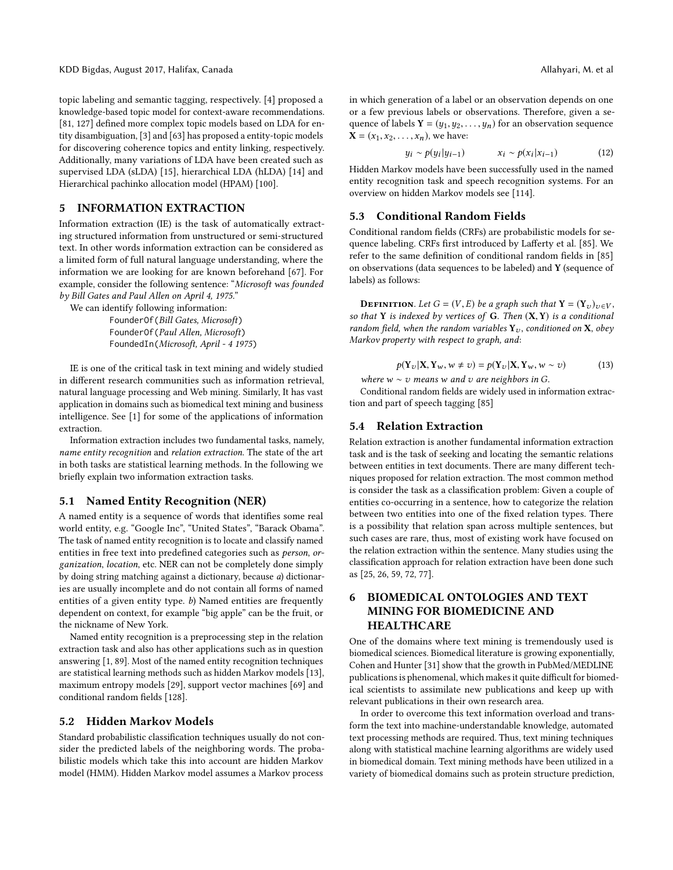KDD Bigdas, August 2017, Halifax, Canada Allahyari, M. et al. Allahyari, M. et al. Allahyari, M. et al.

topic labeling and semantic tagging, respectively. [\[4\]](#page-10-21) proposed a knowledge-based topic model for context-aware recommendations. [\[81,](#page-11-45) [127\]](#page-12-42) defined more complex topic models based on LDA for entity disambiguation, [\[3\]](#page-10-22) and [\[63\]](#page-11-46) has proposed a entity-topic models for discovering coherence topics and entity linking, respectively. Additionally, many variations of LDA have been created such as supervised LDA (sLDA) [\[15\]](#page-10-23), hierarchical LDA (hLDA) [\[14\]](#page-10-24) and Hierarchical pachinko allocation model (HPAM) [\[100\]](#page-12-43).

#### 5 INFORMATION EXTRACTION

Information extraction (IE) is the task of automatically extracting structured information from unstructured or semi-structured text. In other words information extraction can be considered as a limited form of full natural language understanding, where the information we are looking for are known beforehand [\[67\]](#page-11-13). For example, consider the following sentence: "Microsoft was founded by Bill Gates and Paul Allen on April 4, 1975."

We can identify following information:

FounderOf(Bill Gates, Microsoft) FounderOf(Paul Allen, Microsoft) FoundedIn(Microsoft, April - 4 1975)

IE is one of the critical task in text mining and widely studied in different research communities such as information retrieval, natural language processing and Web mining. Similarly, It has vast application in domains such as biomedical text mining and business intelligence. See [\[1\]](#page-10-1) for some of the applications of information extraction.

Information extraction includes two fundamental tasks, namely, name entity recognition and relation extraction. The state of the art in both tasks are statistical learning methods. In the following we briefly explain two information extraction tasks.

#### 5.1 Named Entity Recognition (NER)

A named entity is a sequence of words that identifies some real world entity, e.g. "Google Inc", "United States", "Barack Obama". The task of named entity recognition is to locate and classify named entities in free text into predefined categories such as person, organization, location, etc. NER can not be completely done simply by doing string matching against a dictionary, because a) dictionaries are usually incomplete and do not contain all forms of named entities of a given entity type. b) Named entities are frequently dependent on context, for example "big apple" can be the fruit, or the nickname of New York.

Named entity recognition is a preprocessing step in the relation extraction task and also has other applications such as in question answering [\[1,](#page-10-1) [89\]](#page-11-47). Most of the named entity recognition techniques are statistical learning methods such as hidden Markov models [\[13\]](#page-10-25), maximum entropy models [\[29\]](#page-10-26), support vector machines [\[69\]](#page-11-48) and conditional random fields [\[128\]](#page-12-44).

#### 5.2 Hidden Markov Models

Standard probabilistic classification techniques usually do not consider the predicted labels of the neighboring words. The probabilistic models which take this into account are hidden Markov model (HMM). Hidden Markov model assumes a Markov process

in which generation of a label or an observation depends on one or a few previous labels or observations. Therefore, given a sequence of labels  $Y = (y_1, y_2, \ldots, y_n)$  for an observation sequence  $X = (x_1, x_2, \ldots, x_n)$ , we have:

$$
y_i \sim p(y_i | y_{i-1}) \qquad x_i \sim p(x_i | x_{i-1}) \qquad (12)
$$

Hidden Markov models have been successfully used in the named entity recognition task and speech recognition systems. For an overview on hidden Markov models see [\[114\]](#page-12-45).

## 5.3 Conditional Random Fields

Conditional random fields (CRFs) are probabilistic models for sequence labeling. CRFs first introduced by Lafferty et al. [\[85\]](#page-11-16). We refer to the same definition of conditional random fields in [\[85\]](#page-11-16) on observations (data sequences to be labeled) and Y (sequence of labels) as follows:

**DEFINITION.** Let  $G = (V, E)$  be a graph such that  $Y = (Y_v)_{v \in V}$ , so that Y is indexed by vertices of G. Then  $(X, Y)$  is a conditional random field, when the random variables  $Y_v$ , conditioned on X, obey Markov property with respect to graph, and:

$$
p(\mathbf{Y}_v|\mathbf{X}, \mathbf{Y}_w, w \neq v) = p(\mathbf{Y}_v|\mathbf{X}, \mathbf{Y}_w, w \sim v)
$$
(13)

where  $w \sim v$  means w and v are neighbors in G.<br>Conditional random fields are widely used in inf

Conditional random fields are widely used in information extraction and part of speech tagging [\[85\]](#page-11-16)

#### 5.4 Relation Extraction

Relation extraction is another fundamental information extraction task and is the task of seeking and locating the semantic relations between entities in text documents. There are many different techniques proposed for relation extraction. The most common method is consider the task as a classification problem: Given a couple of entities co-occurring in a sentence, how to categorize the relation between two entities into one of the fixed relation types. There is a possibility that relation span across multiple sentences, but such cases are rare, thus, most of existing work have focused on the relation extraction within the sentence. Many studies using the classification approach for relation extraction have been done such as [\[25,](#page-10-27) [26,](#page-10-28) [59,](#page-11-49) [72,](#page-11-50) [77\]](#page-11-51).

## 6 BIOMEDICAL ONTOLOGIES AND TEXT MINING FOR BIOMEDICINE AND HEALTHCARE

One of the domains where text mining is tremendously used is biomedical sciences. Biomedical literature is growing exponentially, Cohen and Hunter [\[31\]](#page-10-29) show that the growth in PubMed/MEDLINE publications is phenomenal, which makes it quite difficult for biomedical scientists to assimilate new publications and keep up with relevant publications in their own research area.

In order to overcome this text information overload and transform the text into machine-understandable knowledge, automated text processing methods are required. Thus, text mining techniques along with statistical machine learning algorithms are widely used in biomedical domain. Text mining methods have been utilized in a variety of biomedical domains such as protein structure prediction,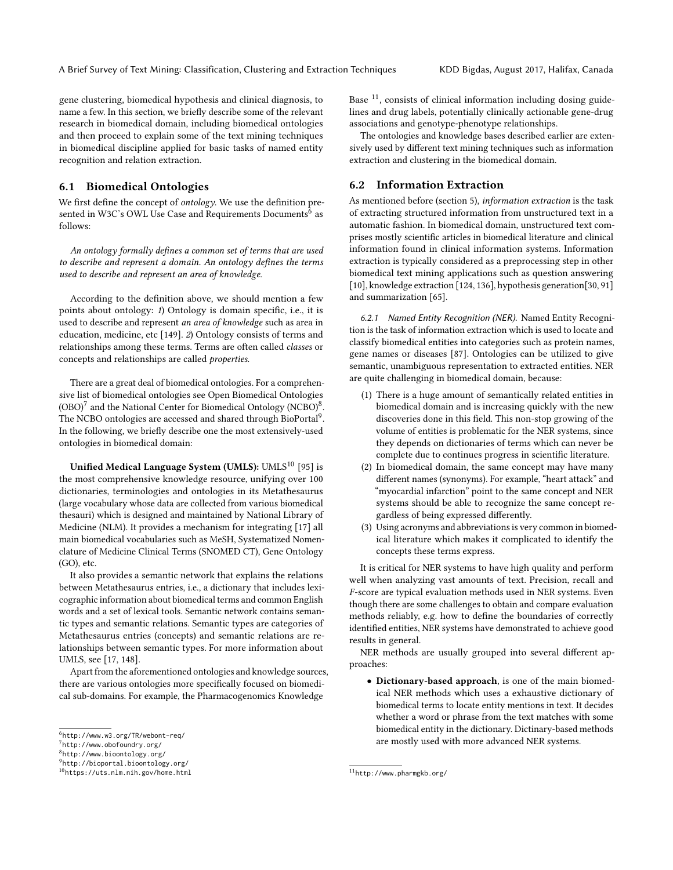gene clustering, biomedical hypothesis and clinical diagnosis, to name a few. In this section, we briefly describe some of the relevant research in biomedical domain, including biomedical ontologies and then proceed to explain some of the text mining techniques in biomedical discipline applied for basic tasks of named entity recognition and relation extraction.

## 6.1 Biomedical Ontologies

We first define the concept of ontology. We use the definition presented in W3C's OWL Use Case and Requirements Documents  $\overline{6}$  $\overline{6}$  $\overline{6}$  as follows:

An ontology formally defines a common set of terms that are used to describe and represent a domain. An ontology defines the terms used to describe and represent an area of knowledge.

According to the definition above, we should mention a few points about ontology: 1) Ontology is domain specific, i.e., it is used to describe and represent an area of knowledge such as area in education, medicine, etc [\[149\]](#page-12-46). 2) Ontology consists of terms and relationships among these terms. Terms are often called classes or concepts and relationships are called properties.

There are a great deal of biomedical ontologies. For a comprehensive list of biomedical ontologies see Open Biomedical Ontologies  $(OBO)<sup>7</sup>$  $(OBO)<sup>7</sup>$  $(OBO)<sup>7</sup>$  and the National Center for Biomedical Ontology (NCBO)<sup>[8](#page-8-2)</sup>. The NCBO ontologies are accessed and shared through BioPortal<sup>[9](#page-8-3)</sup>. In the following, we briefly describe one the most extensively-used ontologies in biomedical domain:

Unified Medical Language System (UMLS): UMLS<sup>[10](#page-8-4)</sup> [\[95\]](#page-12-47) is the most comprehensive knowledge resource, unifying over 100 dictionaries, terminologies and ontologies in its Metathesaurus (large vocabulary whose data are collected from various biomedical thesauri) which is designed and maintained by National Library of Medicine (NLM). It provides a mechanism for integrating [\[17\]](#page-10-30) all main biomedical vocabularies such as MeSH, Systematized Nomenclature of Medicine Clinical Terms (SNOMED CT), Gene Ontology (GO), etc.

It also provides a semantic network that explains the relations between Metathesaurus entries, i.e., a dictionary that includes lexicographic information about biomedical terms and common English words and a set of lexical tools. Semantic network contains semantic types and semantic relations. Semantic types are categories of Metathesaurus entries (concepts) and semantic relations are relationships between semantic types. For more information about UMLS, see [\[17,](#page-10-30) [148\]](#page-12-48).

Apart from the aforementioned ontologies and knowledge sources, there are various ontologies more specifically focused on biomedical sub-domains. For example, the Pharmacogenomics Knowledge

Base  $^{11}$  $^{11}$  $^{11}$ , consists of clinical information including dosing guidelines and drug labels, potentially clinically actionable gene-drug associations and genotype-phenotype relationships.

The ontologies and knowledge bases described earlier are extensively used by different text mining techniques such as information extraction and clustering in the biomedical domain.

#### 6.2 Information Extraction

As mentioned before (section 5), information extraction is the task of extracting structured information from unstructured text in a automatic fashion. In biomedical domain, unstructured text comprises mostly scientific articles in biomedical literature and clinical information found in clinical information systems. Information extraction is typically considered as a preprocessing step in other biomedical text mining applications such as question answering [\[10\]](#page-10-31), knowledge extraction [\[124,](#page-12-49) [136\]](#page-12-50), hypothesis generation[\[30,](#page-10-32) [91\]](#page-11-52) and summarization [\[65\]](#page-11-53).

6.2.1 Named Entity Recognition (NER). Named Entity Recognition is the task of information extraction which is used to locate and classify biomedical entities into categories such as protein names, gene names or diseases [\[87\]](#page-11-54). Ontologies can be utilized to give semantic, unambiguous representation to extracted entities. NER are quite challenging in biomedical domain, because:

- (1) There is a huge amount of semantically related entities in biomedical domain and is increasing quickly with the new discoveries done in this field. This non-stop growing of the volume of entities is problematic for the NER systems, since they depends on dictionaries of terms which can never be complete due to continues progress in scientific literature.
- (2) In biomedical domain, the same concept may have many different names (synonyms). For example, "heart attack" and "myocardial infarction" point to the same concept and NER systems should be able to recognize the same concept regardless of being expressed differently.
- (3) Using acronyms and abbreviations is very common in biomedical literature which makes it complicated to identify the concepts these terms express.

It is critical for NER systems to have high quality and perform well when analyzing vast amounts of text. Precision, recall and F-score are typical evaluation methods used in NER systems. Even though there are some challenges to obtain and compare evaluation methods reliably, e.g. how to define the boundaries of correctly identified entities, NER systems have demonstrated to achieve good results in general.

NER methods are usually grouped into several different approaches:

• Dictionary-based approach, is one of the main biomedical NER methods which uses a exhaustive dictionary of biomedical terms to locate entity mentions in text. It decides whether a word or phrase from the text matches with some biomedical entity in the dictionary. Dictinary-based methods are mostly used with more advanced NER systems.

<span id="page-8-0"></span><sup>6</sup> http://www.w3.org/TR/webont-req/

<span id="page-8-1"></span><sup>7</sup> http://www.obofoundry.org/

<span id="page-8-2"></span><sup>8</sup> http://www.bioontology.org/

<span id="page-8-3"></span><sup>9</sup> http://bioportal.bioontology.org/

<span id="page-8-4"></span><sup>10</sup>https://uts.nlm.nih.gov/home.html

<span id="page-8-5"></span><sup>11</sup>http://www.pharmgkb.org/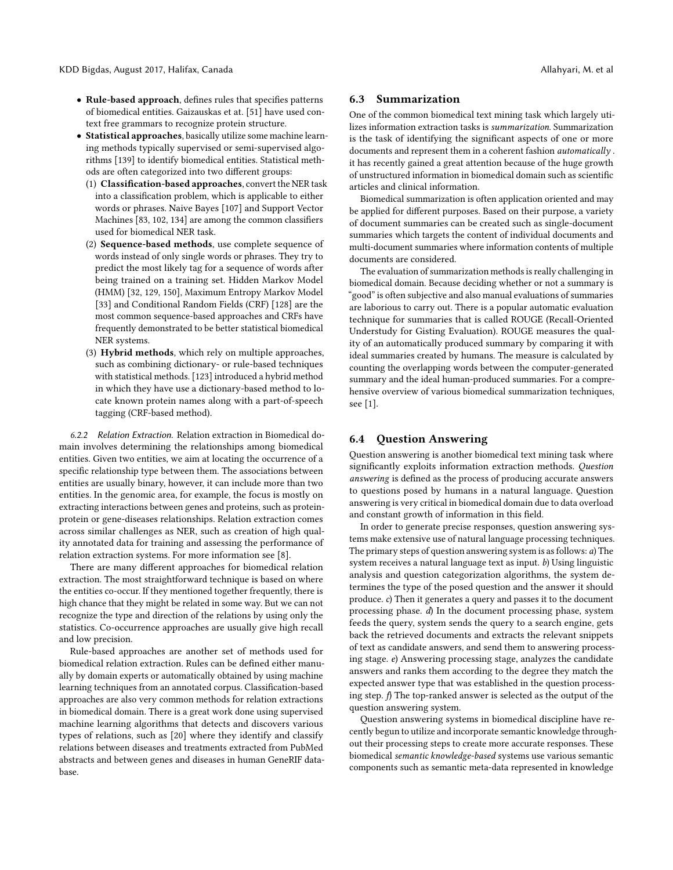- Rule-based approach, defines rules that specifies patterns of biomedical entities. Gaizauskas et at. [\[51\]](#page-11-55) have used context free grammars to recognize protein structure.
- Statistical approaches, basically utilize some machine learning methods typically supervised or semi-supervised algorithms [\[139\]](#page-12-51) to identify biomedical entities. Statistical methods are often categorized into two different groups:
	- (1) Classification-based approaches, convert the NER task into a classification problem, which is applicable to either words or phrases. Naive Bayes [\[107\]](#page-12-52) and Support Vector Machines [\[83,](#page-11-56) [102,](#page-12-53) [134\]](#page-12-54) are among the common classifiers used for biomedical NER task.
	- (2) Sequence-based methods, use complete sequence of words instead of only single words or phrases. They try to predict the most likely tag for a sequence of words after being trained on a training set. Hidden Markov Model (HMM) [\[32,](#page-10-33) [129,](#page-12-55) [150\]](#page-12-56), Maximum Entropy Markov Model [\[33\]](#page-10-34) and Conditional Random Fields (CRF) [\[128\]](#page-12-44) are the most common sequence-based approaches and CRFs have frequently demonstrated to be better statistical biomedical NER systems.
	- (3) Hybrid methods, which rely on multiple approaches, such as combining dictionary- or rule-based techniques with statistical methods. [\[123\]](#page-12-57) introduced a hybrid method in which they have use a dictionary-based method to locate known protein names along with a part-of-speech tagging (CRF-based method).

6.2.2 Relation Extraction. Relation extraction in Biomedical domain involves determining the relationships among biomedical entities. Given two entities, we aim at locating the occurrence of a specific relationship type between them. The associations between entities are usually binary, however, it can include more than two entities. In the genomic area, for example, the focus is mostly on extracting interactions between genes and proteins, such as proteinprotein or gene-diseases relationships. Relation extraction comes across similar challenges as NER, such as creation of high quality annotated data for training and assessing the performance of relation extraction systems. For more information see [\[8\]](#page-10-35).

There are many different approaches for biomedical relation extraction. The most straightforward technique is based on where the entities co-occur. If they mentioned together frequently, there is high chance that they might be related in some way. But we can not recognize the type and direction of the relations by using only the statistics. Co-occurrence approaches are usually give high recall and low precision.

Rule-based approaches are another set of methods used for biomedical relation extraction. Rules can be defined either manually by domain experts or automatically obtained by using machine learning techniques from an annotated corpus. Classification-based approaches are also very common methods for relation extractions in biomedical domain. There is a great work done using supervised machine learning algorithms that detects and discovers various types of relations, such as [\[20\]](#page-10-36) where they identify and classify relations between diseases and treatments extracted from PubMed abstracts and between genes and diseases in human GeneRIF database.

#### 6.3 Summarization

One of the common biomedical text mining task which largely utilizes information extraction tasks is summarization. Summarization is the task of identifying the significant aspects of one or more documents and represent them in a coherent fashion automatically . it has recently gained a great attention because of the huge growth of unstructured information in biomedical domain such as scientific articles and clinical information.

Biomedical summarization is often application oriented and may be applied for different purposes. Based on their purpose, a variety of document summaries can be created such as single-document summaries which targets the content of individual documents and multi-document summaries where information contents of multiple documents are considered.

The evaluation of summarization methods is really challenging in biomedical domain. Because deciding whether or not a summary is "good" is often subjective and also manual evaluations of summaries are laborious to carry out. There is a popular automatic evaluation technique for summaries that is called ROUGE (Recall-Oriented Understudy for Gisting Evaluation). ROUGE measures the quality of an automatically produced summary by comparing it with ideal summaries created by humans. The measure is calculated by counting the overlapping words between the computer-generated summary and the ideal human-produced summaries. For a comprehensive overview of various biomedical summarization techniques, see [\[1\]](#page-10-1).

#### 6.4 Question Answering

Question answering is another biomedical text mining task where significantly exploits information extraction methods. Question answering is defined as the process of producing accurate answers to questions posed by humans in a natural language. Question answering is very critical in biomedical domain due to data overload and constant growth of information in this field.

In order to generate precise responses, question answering systems make extensive use of natural language processing techniques. The primary steps of question answering system is as follows: a) The system receives a natural language text as input.  $b$ ) Using linguistic analysis and question categorization algorithms, the system determines the type of the posed question and the answer it should produce. c) Then it generates a query and passes it to the document processing phase. d) In the document processing phase, system feeds the query, system sends the query to a search engine, gets back the retrieved documents and extracts the relevant snippets of text as candidate answers, and send them to answering processing stage. e) Answering processing stage, analyzes the candidate answers and ranks them according to the degree they match the expected answer type that was established in the question processing step. f) The top-ranked answer is selected as the output of the question answering system.

Question answering systems in biomedical discipline have recently begun to utilize and incorporate semantic knowledge throughout their processing steps to create more accurate responses. These biomedical semantic knowledge-based systems use various semantic components such as semantic meta-data represented in knowledge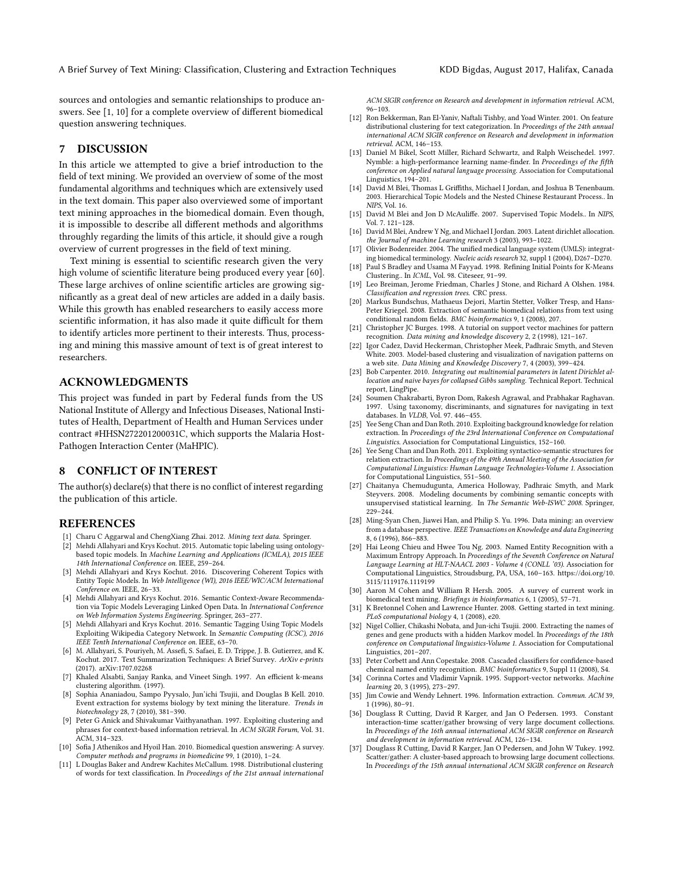sources and ontologies and semantic relationships to produce answers. See [\[1,](#page-10-1) [10\]](#page-10-31) for a complete overview of different biomedical question answering techniques.

#### 7 DISCUSSION

In this article we attempted to give a brief introduction to the field of text mining. We provided an overview of some of the most fundamental algorithms and techniques which are extensively used in the text domain. This paper also overviewed some of important text mining approaches in the biomedical domain. Even though, it is impossible to describe all different methods and algorithms throughly regarding the limits of this article, it should give a rough overview of current progresses in the field of text mining.

Text mining is essential to scientific research given the very high volume of scientific literature being produced every year [\[60\]](#page-11-18). These large archives of online scientific articles are growing significantly as a great deal of new articles are added in a daily basis. While this growth has enabled researchers to easily access more scientific information, it has also made it quite difficult for them to identify articles more pertinent to their interests. Thus, processing and mining this massive amount of text is of great interest to researchers.

## ACKNOWLEDGMENTS

This project was funded in part by Federal funds from the US National Institute of Allergy and Infectious Diseases, National Institutes of Health, Department of Health and Human Services under contract #HHSN272201200031C, which supports the Malaria Host-Pathogen Interaction Center (MaHPIC).

## 8 CONFLICT OF INTEREST

The author(s) declare(s) that there is no conflict of interest regarding the publication of this article.

#### **REFERENCES**

- <span id="page-10-1"></span>1] Charu C Aggarwal and ChengXiang Zhai. 2012. Mining text data. Springer.
- <span id="page-10-19"></span>Mehdi Allahyari and Krys Kochut. 2015. Automatic topic labeling using ontologybased topic models. In Machine Learning and Applications (ICMLA), 2015 IEEE 14th International Conference on. IEEE, 259–264.
- <span id="page-10-22"></span>[3] Mehdi Allahyari and Krys Kochut. 2016. Discovering Coherent Topics with Entity Topic Models. In Web Intelligence (WI), 2016 IEEE/WIC/ACM International Conference on. IEEE, 26–33.
- <span id="page-10-21"></span>[4] Mehdi Allahyari and Krys Kochut. 2016. Semantic Context-Aware Recommendation via Topic Models Leveraging Linked Open Data. In International Conference on Web Information Systems Engineering. Springer, 263–277.
- <span id="page-10-20"></span>[5] Mehdi Allahyari and Krys Kochut. 2016. Semantic Tagging Using Topic Models Exploiting Wikipedia Category Network. In Semantic Computing (ICSC), 2016 IEEE Tenth International Conference on. IEEE, 63–70.
- <span id="page-10-3"></span>[6] M. Allahyari, S. Pouriyeh, M. Assefi, S. Safaei, E. D. Trippe, J. B. Gutierrez, and K. Kochut. 2017. Text Summarization Techniques: A Brief Survey. ArXiv e-prints (2017). arXiv[:1707.02268](http://arxiv.org/abs/1707.02268)
- <span id="page-10-16"></span>[7] Khaled Alsabti, Sanjay Ranka, and Vineet Singh. 1997. An efficient k-means clustering algorithm. (1997).
- <span id="page-10-35"></span>[8] Sophia Ananiadou, Sampo Pyysalo, Jun'ichi Tsujii, and Douglas B Kell. 2010. Event extraction for systems biology by text mining the literature. Trends in biotechnology 28, 7 (2010), 381–390.
- <span id="page-10-14"></span>[9] Peter G Anick and Shivakumar Vaithyanathan. 1997. Exploiting clustering and phrases for context-based information retrieval. In ACM SIGIR Forum, Vol. 31. ACM, 314–323.
- <span id="page-10-31"></span>[10] Sofia J Athenikos and Hyoil Han. 2010. Biomedical question answering: A survey. Computer methods and programs in biomedicine 99, 1 (2010), 1–24.
- <span id="page-10-9"></span>[11] L Douglas Baker and Andrew Kachites McCallum. 1998. Distributional clustering of words for text classification. In Proceedings of the 21st annual international

ACM SIGIR conference on Research and development in information retrieval. ACM, 96–103.

- <span id="page-10-10"></span>[12] Ron Bekkerman, Ran El-Yaniv, Naftali Tishby, and Yoad Winter. 2001. On feature distributional clustering for text categorization. In Proceedings of the 24th annual international ACM SIGIR conference on Research and development in information retrieval. ACM, 146–153.
- <span id="page-10-25"></span>[13] Daniel M Bikel, Scott Miller, Richard Schwartz, and Ralph Weischedel. 1997. Nymble: a high-performance learning name-finder. In Proceedings of the fifth conference on Applied natural language processing. Association for Computational Linguistics, 194–201.
- <span id="page-10-24"></span>[14] David M Blei, Thomas L Griffiths, Michael I Jordan, and Joshua B Tenenbaum. 2003. Hierarchical Topic Models and the Nested Chinese Restaurant Process.. In NIPS, Vol. 16.
- <span id="page-10-23"></span>[15] David M Blei and Jon D McAuliffe. 2007. Supervised Topic Models.. In NIPS, Vol. 7. 121–128.
- <span id="page-10-4"></span>[16] David M Blei, Andrew Y Ng, and Michael I Jordan. 2003. Latent dirichlet allocation. the Journal of machine Learning research 3 (2003), 993–1022.
- <span id="page-10-30"></span>[17] Olivier Bodenreider. 2004. The unified medical language system (UMLS): integrating biomedical terminology. Nucleic acids research 32, suppl 1 (2004), D267–D270.
- <span id="page-10-15"></span>[18] Paul S Bradley and Usama M Fayyad. 1998. Refining Initial Points for K-Means Clustering.. In ICML, Vol. 98. Citeseer, 91–99.
- <span id="page-10-6"></span>[19] Leo Breiman, Jerome Friedman, Charles J Stone, and Richard A Olshen. 1984. Classification and regression trees. CRC press.
- <span id="page-10-36"></span>[20] Markus Bundschus, Mathaeus Dejori, Martin Stetter, Volker Tresp, and Hans-Peter Kriegel. 2008. Extraction of semantic biomedical relations from text using conditional random fields. BMC bioinformatics 9, 1 (2008), 207.
- <span id="page-10-8"></span>[21] Christopher JC Burges. 1998. A tutorial on support vector machines for pattern recognition. Data mining and knowledge discovery 2, 2 (1998), 121–167.
- <span id="page-10-11"></span>[22] Igor Cadez, David Heckerman, Christopher Meek, Padhraic Smyth, and Steven White. 2003. Model-based clustering and visualization of navigation patterns on a web site. Data Mining and Knowledge Discovery 7, 4 (2003), 399–424.
- <span id="page-10-17"></span>[23] Bob Carpenter. 2010. Integrating out multinomial parameters in latent Dirichlet allocation and naive bayes for collapsed Gibbs sampling. Technical Report. Technical report, LingPipe.
- <span id="page-10-5"></span>[24] Soumen Chakrabarti, Byron Dom, Rakesh Agrawal, and Prabhakar Raghavan. 1997. Using taxonomy, discriminants, and signatures for navigating in text databases. In VLDB, Vol. 97. 446–455.
- <span id="page-10-27"></span>[25] Yee Seng Chan and Dan Roth. 2010. Exploiting background knowledge for relation extraction. In Proceedings of the 23rd International Conference on Computational Linguistics. Association for Computational Linguistics, 152–160.
- <span id="page-10-28"></span>[26] Yee Seng Chan and Dan Roth. 2011. Exploiting syntactico-semantic structures for relation extraction. In Proceedings of the 49th Annual Meeting of the Association for Computational Linguistics: Human Language Technologies-Volume 1. Association for Computational Linguistics, 551–560.
- <span id="page-10-18"></span>[27] Chaitanya Chemudugunta, America Holloway, Padhraic Smyth, and Mark Steyvers. 2008. Modeling documents by combining semantic concepts with unsupervised statistical learning. In The Semantic Web-ISWC 2008. Springer, 229–244.
- <span id="page-10-0"></span>[28] Ming-Syan Chen, Jiawei Han, and Philip S. Yu. 1996. Data mining: an overview from a database perspective. IEEE Transactions on Knowledge and data Engineering 8, 6 (1996), 866–883.
- <span id="page-10-26"></span>[29] Hai Leong Chieu and Hwee Tou Ng. 2003. Named Entity Recognition with a Maximum Entropy Approach. In Proceedings of the Seventh Conference on Natural Language Learning at HLT-NAACL 2003 - Volume 4 (CONLL '03). Association for Computational Linguistics, Stroudsburg, PA, USA, 160–163. [https://doi.org/10.](https://doi.org/10.3115/1119176.1119199) [3115/1119176.1119199](https://doi.org/10.3115/1119176.1119199)
- <span id="page-10-32"></span>[30] Aaron M Cohen and William R Hersh. 2005. A survey of current work in biomedical text mining. Briefings in bioinformatics 6, 1 (2005), 57–71.
- <span id="page-10-29"></span>[31] K Bretonnel Cohen and Lawrence Hunter. 2008. Getting started in text mining. PLoS computational biology 4, 1 (2008), e20.
- <span id="page-10-33"></span>[32] Nigel Collier, Chikashi Nobata, and Jun-ichi Tsujii. 2000. Extracting the names of genes and gene products with a hidden Markov model. In Proceedings of the 18th conference on Computational linguistics-Volume 1. Association for Computational Linguistics, 201–207.
- <span id="page-10-34"></span>[33] Peter Corbett and Ann Copestake. 2008. Cascaded classifiers for confidence-based chemical named entity recognition. BMC bioinformatics 9, Suppl 11 (2008), S4.
- <span id="page-10-7"></span>[34] Corinna Cortes and Vladimir Vapnik. 1995. Support-vector networks. Machine learning 20, 3 (1995), 273–297.
- <span id="page-10-2"></span>[35] Jim Cowie and Wendy Lehnert. 1996. Information extraction. Commun. ACM 39, 1 (1996), 80–91.
- <span id="page-10-13"></span>[36] Douglass R Cutting, David R Karger, and Jan O Pedersen. 1993. Constant interaction-time scatter/gather browsing of very large document collections. In Proceedings of the 16th annual international ACM SIGIR conference on Research and development in information retrieval. ACM, 126–134.
- <span id="page-10-12"></span>[37] Douglass R Cutting, David R Karger, Jan O Pedersen, and John W Tukey. 1992. Scatter/gather: A cluster-based approach to browsing large document collections. In Proceedings of the 15th annual international ACM SIGIR conference on Research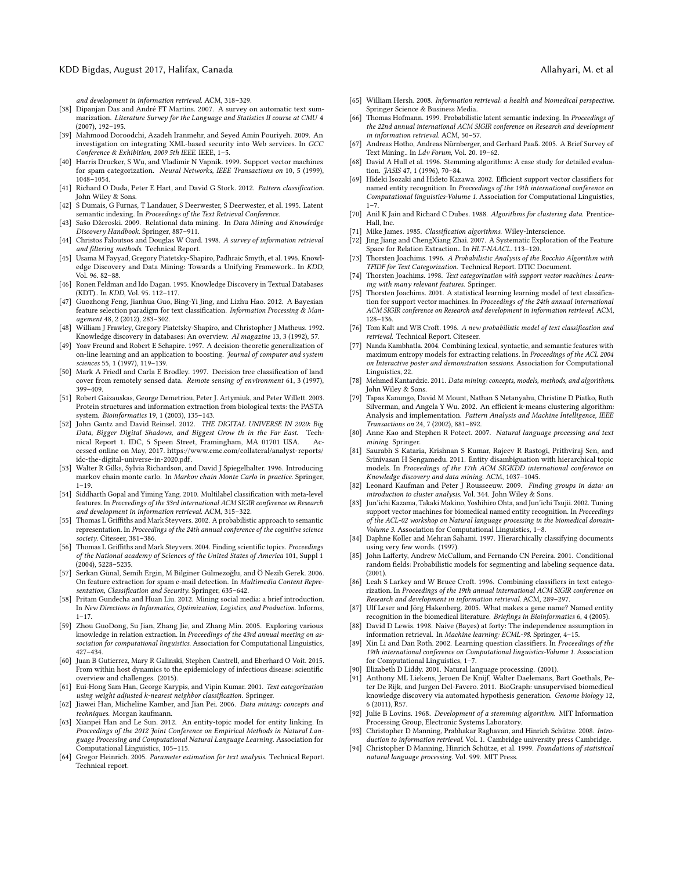#### KDD Bigdas, August 2017, Halifax, Canada Allahyari, M. et al

and development in information retrieval. ACM, 318–329.

- <span id="page-11-14"></span>[38] Dipanjan Das and André FT Martins. 2007. A survey on automatic text summarization. Literature Survey for the Language and Statistics II course at CMU 4 (2007), 192–195.
- <span id="page-11-7"></span>[39] Mahmood Doroodchi, Azadeh Iranmehr, and Seyed Amin Pouriyeh. 2009. An investigation on integrating XML-based security into Web services. In GCC Conference & Exhibition, 2009 5th IEEE. IEEE, 1–5.
- <span id="page-11-36"></span>[40] Harris Drucker, S Wu, and Vladimir N Vapnik. 1999. Support vector machines for spam categorization. Neural Networks, IEEE Transactions on 10, 5 (1999), 1048–1054.
- <span id="page-11-25"></span>[41] Richard O Duda, Peter E Hart, and David G Stork. 2012. Pattern classification. John Wiley & Sons.
- <span id="page-11-19"></span>[42] S Dumais, G Furnas, T Landauer, S Deerwester, S Deerwester, et al. 1995. Latent semantic indexing. In Proceedings of the Text Retrieval Conference.
- <span id="page-11-6"></span>[43] Sašo Džeroski. 2009. Relational data mining. In Data Mining and Knowledge Discovery Handbook. Springer, 887–911.
- <span id="page-11-8"></span>[44] Christos Faloutsos and Douglas W Oard. 1998. A survey of information retrieval and filtering methods. Technical Report.
- <span id="page-11-1"></span>[45] Usama M Fayyad, Gregory Piatetsky-Shapiro, Padhraic Smyth, et al. 1996. Knowledge Discovery and Data Mining: Towards a Unifying Framework.. In KDD, Vol. 96. 82–88.
- <span id="page-11-5"></span>[46] Ronen Feldman and Ido Dagan. 1995. Knowledge Discovery in Textual Databases (KDT).. In KDD, Vol. 95. 112–117.
- <span id="page-11-21"></span>[47] Guozhong Feng, Jianhua Guo, Bing-Yi Jing, and Lizhu Hao. 2012. A Bayesian feature selection paradigm for text classification. Information Processing & Management 48, 2 (2012), 283–302.
- <span id="page-11-2"></span>[48] William J Frawley, Gregory Piatetsky-Shapiro, and Christopher J Matheus. 1992. Knowledge discovery in databases: An overview. AI magazine 13, 3 (1992), 57.
- <span id="page-11-34"></span>[49] Yoav Freund and Robert E Schapire. 1997. A decision-theoretic generalization of on-line learning and an application to boosting. Journal of computer and system sciences 55, 1 (1997), 119–139.
- <span id="page-11-33"></span>[50] Mark A Friedl and Carla E Brodley. 1997. Decision tree classification of land cover from remotely sensed data. Remote sensing of environment 61, 3 (1997), 399–409.
- <span id="page-11-55"></span>[51] Robert Gaizauskas, George Demetriou, Peter J. Artymiuk, and Peter Willett. 2003. Protein structures and information extraction from biological texts: the PASTA system. Bioinformatics 19, 1 (2003), 135–143.
- <span id="page-11-0"></span>[52] John Gantz and David Reinsel. 2012. THE DIGITAL UNIVERSE IN 2020: Big Data, Bigger Digital Shadows, and Biggest Grow th in the Far East. Technical Report 1. IDC, 5 Speen Street, Framingham, MA 01701 USA. Accessed online on May, 2017. [https://www.emc.com/collateral/analyst-reports/](https://www.emc.com/collateral/analyst-reports/idc-the-digital-universe-in-2020.pdf) [idc-the-digital-universe-in-2020.pdf.](https://www.emc.com/collateral/analyst-reports/idc-the-digital-universe-in-2020.pdf)
- <span id="page-11-43"></span>[53] Walter R Gilks, Sylvia Richardson, and David J Spiegelhalter. 1996. Introducing markov chain monte carlo. In Markov chain Monte Carlo in practice. Springer, 1–19.
- <span id="page-11-24"></span>[54] Siddharth Gopal and Yiming Yang. 2010. Multilabel classification with meta-level features. In Proceedings of the 33rd international ACM SIGIR conference on Research and development in information retrieval. ACM, 315–322.
- <span id="page-11-41"></span>[55] Thomas L Griffiths and Mark Steyvers. 2002. A probabilistic approach to semantic representation. In Proceedings of the 24th annual conference of the cognitive science society. Citeseer, 381–386.
- <span id="page-11-42"></span>[56] Thomas L Griffiths and Mark Steyvers. 2004. Finding scientific topics. Proceedings of the National academy of Sciences of the United States of America 101, Suppl 1 (2004), 5228–5235.
- <span id="page-11-20"></span>[57] Serkan Günal, Semih Ergin, M Bilginer Gülmezoğlu, and Ö Nezih Gerek. 2006. On feature extraction for spam e-mail detection. In Multimedia Content Representation, Classification and Security. Springer, 635–642.
- <span id="page-11-17"></span>[58] Pritam Gundecha and Huan Liu. 2012. Mining social media: a brief introduction. In New Directions in Informatics, Optimization, Logistics, and Production. Informs,  $1 - 17.$
- <span id="page-11-49"></span>[59] Zhou GuoDong, Su Jian, Zhang Jie, and Zhang Min. 2005. Exploring various knowledge in relation extraction. In Proceedings of the 43rd annual meeting on association for computational linguistics. Association for Computational Linguistics, 427–434.
- <span id="page-11-18"></span>[60] Juan B Gutierrez, Mary R Galinski, Stephen Cantrell, and Eberhard O Voit. 2015. From within host dynamics to the epidemiology of infectious disease: scientific overview and challenges. (2015).
- <span id="page-11-32"></span>[61] Eui-Hong Sam Han, George Karypis, and Vipin Kumar. 2001. Text categorization using weight adjusted k-nearest neighbor classification. Springer.
- <span id="page-11-3"></span>[62] Jiawei Han, Micheline Kamber, and Jian Pei. 2006. Data mining: concepts and techniques. Morgan kaufmann.
- <span id="page-11-46"></span>[63] Xianpei Han and Le Sun. 2012. An entity-topic model for entity linking. In Proceedings of the 2012 Joint Conference on Empirical Methods in Natural Language Processing and Computational Natural Language Learning. Association for Computational Linguistics, 105–115.
- <span id="page-11-44"></span>[64] Gregor Heinrich. 2005. Parameter estimation for text analysis. Technical Report. Technical report.
- 
- <span id="page-11-53"></span>[65] William Hersh. 2008. Information retrieval: a health and biomedical perspective. Springer Science & Business Media.
- <span id="page-11-15"></span>[66] Thomas Hofmann. 1999. Probabilistic latent semantic indexing. In Proceedings of the 22nd annual international ACM SIGIR conference on Research and development in information retrieval. ACM, 50–57.
- <span id="page-11-13"></span>[67] Andreas Hotho, Andreas Nürnberger, and Gerhard Paaß. 2005. A Brief Survey of Text Mining.. In  $Ldv$  Forum, Vol. 20. 19–62.
- <span id="page-11-23"></span>[68] David A Hull et al. 1996. Stemming algorithms: A case study for detailed evaluation. JASIS 47, 1 (1996), 70–84.
- <span id="page-11-48"></span>[69] Hideki Isozaki and Hideto Kazawa. 2002. Efficient support vector classifiers for named entity recognition. In Proceedings of the 19th international conference on Computational linguistics-Volume 1. Association for Computational Linguistics,  $1 - 7$
- <span id="page-11-38"></span>[70] Anil K Jain and Richard C Dubes. 1988. Algorithms for clustering data. Prentice-Hall, Inc.
- <span id="page-11-26"></span>[71] Mike James. 1985. Classification algorithms. Wiley-Interscience.
- <span id="page-11-50"></span>[72] Jing Jiang and ChengXiang Zhai. 2007. A Systematic Exploration of the Feature Space for Relation Extraction.. In HLT-NAACL. 113-120.
- <span id="page-11-27"></span>[73] Thorsten Joachims. 1996. A Probabilistic Analysis of the Rocchio Algorithm with TFIDF for Text Categorization. Technical Report. DTIC Document.
- <span id="page-11-35"></span>[74] Thorsten Joachims. 1998. Text categorization with support vector machines: Learning with many relevant features. Springer.
- <span id="page-11-37"></span>[75] Thorsten Joachims. 2001. A statistical learning learning model of text classification for support vector machines. In Proceedings of the 24th annual international ACM SIGIR conference on Research and development in information retrieval. ACM, 128–136.
- <span id="page-11-31"></span>[76] Tom Kalt and WB Croft. 1996. A new probabilistic model of text classification and retrieval. Technical Report. Citeseer.
- <span id="page-11-51"></span>Nanda Kambhatla. 2004. Combining lexical, syntactic, and semantic features with maximum entropy models for extracting relations. In Proceedings of the ACL 2004 on Interactive poster and demonstration sessions. Association for Computational Linguistics, 22.
- <span id="page-11-4"></span>[78] Mehmed Kantardzic. 2011. Data mining: concepts, models, methods, and algorithms. John Wiley & Sons.
- <span id="page-11-40"></span>[79] Tapas Kanungo, David M Mount, Nathan S Netanyahu, Christine D Piatko, Ruth Silverman, and Angela Y Wu. 2002. An efficient k-means clustering algorithm: Analysis and implementation. Pattern Analysis and Machine Intelligence, IEEE Transactions on 24, 7 (2002), 881–892.
- <span id="page-11-12"></span>[80] Anne Kao and Stephen R Poteet. 2007. Natural language processing and text mining. Springer.
- <span id="page-11-45"></span>[81] Saurabh S Kataria, Krishnan S Kumar, Rajeev R Rastogi, Prithviraj Sen, and Srinivasan H Sengamedu. 2011. Entity disambiguation with hierarchical topic models. In Proceedings of the 17th ACM SIGKDD international conference on Knowledge discovery and data mining. ACM, 1037–1045.
- <span id="page-11-39"></span>[82] Leonard Kaufman and Peter J Rousseeuw. 2009. Finding groups in data: an introduction to cluster analysis. Vol. 344. John Wiley & Sons.
- <span id="page-11-56"></span>[83] Jun'ichi Kazama, Takaki Makino, Yoshihiro Ohta, and Jun'ichi Tsujii. 2002. Tuning support vector machines for biomedical named entity recognition. In Proceedings of the ACL-02 workshop on Natural language processing in the biomedical domain-Volume 3. Association for Computational Linguistics, 1–8.
- <span id="page-11-28"></span>[84] Daphne Koller and Mehran Sahami. 1997. Hierarchically classifying documents using very few words. (1997).
- <span id="page-11-16"></span>[85] John Lafferty, Andrew McCallum, and Fernando CN Pereira. 2001. Conditional random fields: Probabilistic models for segmenting and labeling sequence data.  $(2001)$
- <span id="page-11-29"></span>[86] Leah S Larkey and W Bruce Croft. 1996. Combining classifiers in text categorization. In Proceedings of the 19th annual international ACM SIGIR conference on Research and development in information retrieval. ACM, 289–297.
- <span id="page-11-54"></span>[87] Ulf Leser and Jörg Hakenberg. 2005. What makes a gene name? Named entity recognition in the biomedical literature. Briefings in Bioinformatics 6, 4 (2005).
- <span id="page-11-30"></span>[88] David D Lewis. 1998. Naive (Bayes) at forty: The independence assumption in information retrieval. In Machine learning: ECML-98. Springer, 4–15.
- <span id="page-11-47"></span>[89] Xin Li and Dan Roth. 2002. Learning question classifiers. In Proceedings of the 19th international conference on Computational linguistics-Volume 1. Association for Computational Linguistics, 1–7.
- <span id="page-11-10"></span>Elizabeth D Liddy. 2001. Natural language processing. (2001).
- <span id="page-11-52"></span>[91] Anthony ML Liekens, Jeroen De Knijf, Walter Daelemans, Bart Goethals, Peter De Rijk, and Jurgen Del-Favero. 2011. BioGraph: unsupervised biomedical knowledge discovery via automated hypothesis generation. Genome biology 12, 6 (2011), R57.
- <span id="page-11-22"></span>[92] Julie B Lovins. 1968. Development of a stemming algorithm. MIT Information Processing Group, Electronic Systems Laboratory.
- <span id="page-11-9"></span>[93] Christopher D Manning, Prabhakar Raghavan, and Hinrich Schütze. 2008. Introduction to information retrieval. Vol. 1. Cambridge university press Cambridge.
- <span id="page-11-11"></span>[94] Christopher D Manning, Hinrich Schütze, et al. 1999. Foundations of statistical natural language processing. Vol. 999. MIT Press.